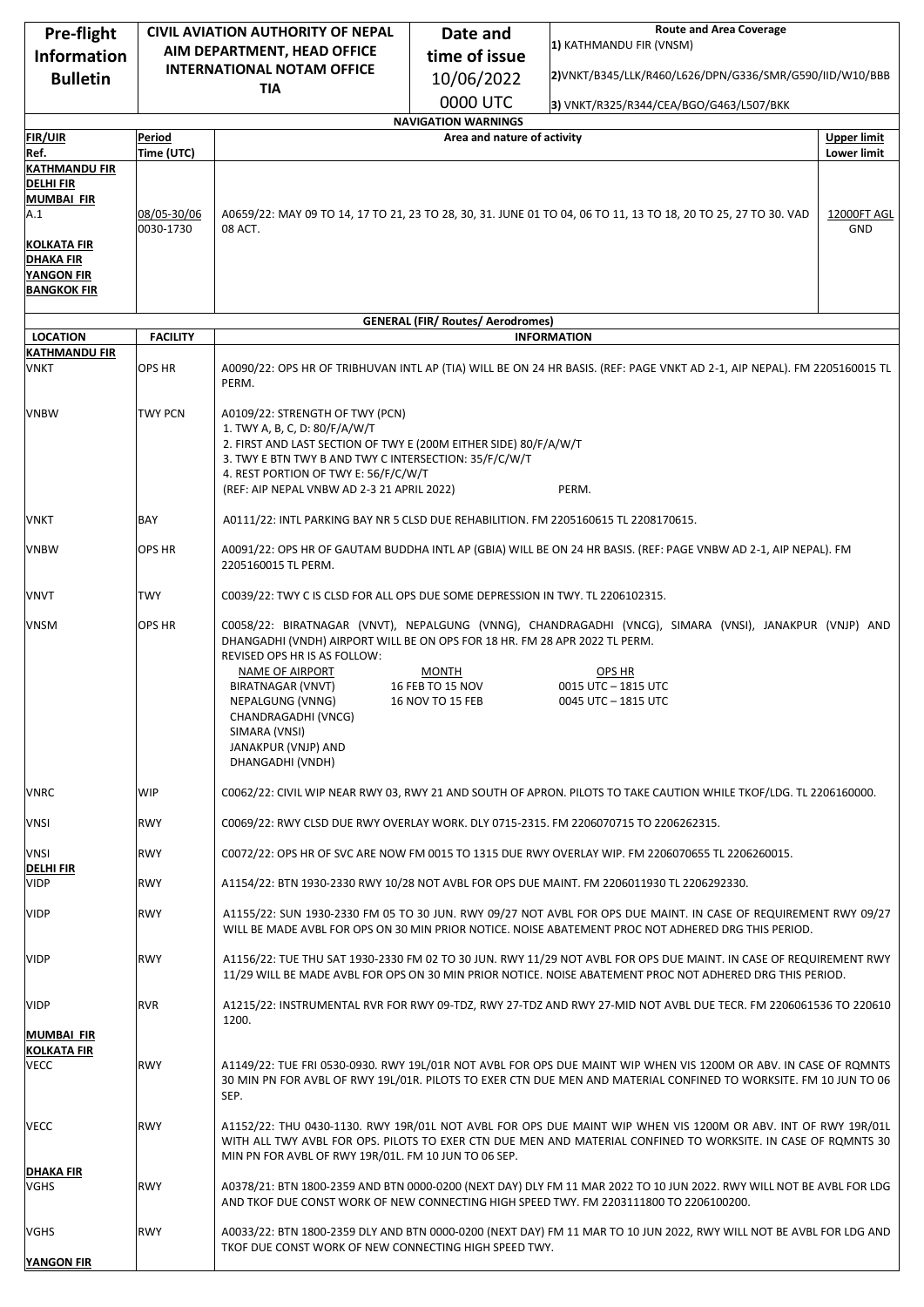| Pre-flight                              |                                                                  | <b>CIVIL AVIATION AUTHORITY OF NEPAL</b>                                                                                                                                                                                                                                                     | Date and                                                  | <b>Route and Area Coverage</b><br>1) KATHMANDU FIR (VNSM)                                                                                                                                                                            |                    |
|-----------------------------------------|------------------------------------------------------------------|----------------------------------------------------------------------------------------------------------------------------------------------------------------------------------------------------------------------------------------------------------------------------------------------|-----------------------------------------------------------|--------------------------------------------------------------------------------------------------------------------------------------------------------------------------------------------------------------------------------------|--------------------|
| <b>Information</b>                      | AIM DEPARTMENT, HEAD OFFICE<br><b>INTERNATIONAL NOTAM OFFICE</b> |                                                                                                                                                                                                                                                                                              | time of issue                                             |                                                                                                                                                                                                                                      |                    |
| <b>Bulletin</b>                         |                                                                  | <b>TIA</b>                                                                                                                                                                                                                                                                                   | 10/06/2022                                                | 2)VNKT/B345/LLK/R460/L626/DPN/G336/SMR/G590/IID/W10/BBB                                                                                                                                                                              |                    |
|                                         |                                                                  |                                                                                                                                                                                                                                                                                              | 0000 UTC                                                  | 3) VNKT/R325/R344/CEA/BGO/G463/L507/BKK                                                                                                                                                                                              |                    |
| <b>FIR/UIR</b>                          | Period                                                           |                                                                                                                                                                                                                                                                                              | <b>NAVIGATION WARNINGS</b><br>Area and nature of activity |                                                                                                                                                                                                                                      | <b>Upper limit</b> |
| Ref.                                    | Time (UTC)                                                       |                                                                                                                                                                                                                                                                                              |                                                           |                                                                                                                                                                                                                                      | <b>Lower limit</b> |
| <b>KATHMANDU FIR</b>                    |                                                                  |                                                                                                                                                                                                                                                                                              |                                                           |                                                                                                                                                                                                                                      |                    |
| DELHI FIR<br><b>MUMBAI FIR</b>          |                                                                  |                                                                                                                                                                                                                                                                                              |                                                           |                                                                                                                                                                                                                                      |                    |
| A.1                                     | 08/05-30/06<br>0030-1730                                         | A0659/22: MAY 09 TO 14, 17 TO 21, 23 TO 28, 30, 31. JUNE 01 TO 04, 06 TO 11, 13 TO 18, 20 TO 25, 27 TO 30. VAD<br>08 ACT.<br>GND                                                                                                                                                             |                                                           |                                                                                                                                                                                                                                      | 12000FT AGL        |
| KOLKATA FIR<br>DHAKA FIR                |                                                                  |                                                                                                                                                                                                                                                                                              |                                                           |                                                                                                                                                                                                                                      |                    |
| <b>YANGON FIR</b>                       |                                                                  |                                                                                                                                                                                                                                                                                              |                                                           |                                                                                                                                                                                                                                      |                    |
| <b>BANGKOK FIR</b>                      |                                                                  |                                                                                                                                                                                                                                                                                              |                                                           |                                                                                                                                                                                                                                      |                    |
|                                         |                                                                  |                                                                                                                                                                                                                                                                                              | <b>GENERAL (FIR/ Routes/ Aerodromes)</b>                  |                                                                                                                                                                                                                                      |                    |
| <b>LOCATION</b><br><b>KATHMANDU FIR</b> | <b>FACILITY</b>                                                  | <b>INFORMATION</b>                                                                                                                                                                                                                                                                           |                                                           |                                                                                                                                                                                                                                      |                    |
| VNKT                                    | OPS HR                                                           | PERM.                                                                                                                                                                                                                                                                                        |                                                           | A0090/22: OPS HR OF TRIBHUVAN INTL AP (TIA) WILL BE ON 24 HR BASIS. (REF: PAGE VNKT AD 2-1, AIP NEPAL). FM 2205160015 TL                                                                                                             |                    |
| <b>VNBW</b>                             | <b>TWY PCN</b>                                                   | A0109/22: STRENGTH OF TWY (PCN)<br>1. TWY A, B, C, D: 80/F/A/W/T<br>2. FIRST AND LAST SECTION OF TWY E (200M EITHER SIDE) 80/F/A/W/T<br>3. TWY E BTN TWY B AND TWY C INTERSECTION: 35/F/C/W/T<br>4. REST PORTION OF TWY E: 56/F/C/W/T<br>PERM.<br>(REF: AIP NEPAL VNBW AD 2-3 21 APRIL 2022) |                                                           |                                                                                                                                                                                                                                      |                    |
| VNKT                                    | BAY                                                              | A0111/22: INTL PARKING BAY NR 5 CLSD DUE REHABILITION. FM 2205160615 TL 2208170615.                                                                                                                                                                                                          |                                                           |                                                                                                                                                                                                                                      |                    |
| <b>VNBW</b>                             | OPS HR                                                           | A0091/22: OPS HR OF GAUTAM BUDDHA INTL AP (GBIA) WILL BE ON 24 HR BASIS. (REF: PAGE VNBW AD 2-1, AIP NEPAL). FM<br>2205160015 TL PERM.                                                                                                                                                       |                                                           |                                                                                                                                                                                                                                      |                    |
| VNVT                                    | <b>TWY</b>                                                       | C0039/22: TWY C IS CLSD FOR ALL OPS DUE SOME DEPRESSION IN TWY. TL 2206102315.                                                                                                                                                                                                               |                                                           |                                                                                                                                                                                                                                      |                    |
| <b>VNSM</b>                             | OPS HR                                                           | DHANGADHI (VNDH) AIRPORT WILL BE ON OPS FOR 18 HR. FM 28 APR 2022 TL PERM.<br>REVISED OPS HR IS AS FOLLOW:<br>NAME OF AIRPORT<br>BIRATNAGAR (VNVT)<br>NEPALGUNG (VNNG)<br>CHANDRAGADHI (VNCG)<br>SIMARA (VNSI)<br>JANAKPUR (VNJP) AND<br>DHANGADHI (VNDH)                                    | <b>MONTH</b><br>16 FEB TO 15 NOV<br>16 NOV TO 15 FEB      | C0058/22: BIRATNAGAR (VNVT), NEPALGUNG (VNNG), CHANDRAGADHI (VNCG), SIMARA (VNSI), JANAKPUR (VNJP) AND<br>OPS HR<br>0015 UTC - 1815 UTC<br>0045 UTC - 1815 UTC                                                                       |                    |
| <b>VNRC</b>                             | WIP                                                              | C0062/22: CIVIL WIP NEAR RWY 03, RWY 21 AND SOUTH OF APRON. PILOTS TO TAKE CAUTION WHILE TKOF/LDG. TL 2206160000.                                                                                                                                                                            |                                                           |                                                                                                                                                                                                                                      |                    |
| VNSI                                    | <b>RWY</b>                                                       | C0069/22: RWY CLSD DUE RWY OVERLAY WORK. DLY 0715-2315. FM 2206070715 TO 2206262315.                                                                                                                                                                                                         |                                                           |                                                                                                                                                                                                                                      |                    |
| <b>VNSI</b><br><b>DELHI FIR</b>         | <b>RWY</b>                                                       |                                                                                                                                                                                                                                                                                              |                                                           | C0072/22: OPS HR OF SVC ARE NOW FM 0015 TO 1315 DUE RWY OVERLAY WIP. FM 2206070655 TL 2206260015.                                                                                                                                    |                    |
| <b>VIDP</b>                             | <b>RWY</b>                                                       |                                                                                                                                                                                                                                                                                              |                                                           | A1154/22: BTN 1930-2330 RWY 10/28 NOT AVBL FOR OPS DUE MAINT. FM 2206011930 TL 2206292330.                                                                                                                                           |                    |
| <b>VIDP</b>                             | <b>RWY</b>                                                       | A1155/22: SUN 1930-2330 FM 05 TO 30 JUN. RWY 09/27 NOT AVBL FOR OPS DUE MAINT. IN CASE OF REQUIREMENT RWY 09/27<br>WILL BE MADE AVBL FOR OPS ON 30 MIN PRIOR NOTICE. NOISE ABATEMENT PROC NOT ADHERED DRG THIS PERIOD.                                                                       |                                                           |                                                                                                                                                                                                                                      |                    |
| <b>VIDP</b>                             | <b>RWY</b>                                                       |                                                                                                                                                                                                                                                                                              |                                                           | A1156/22: TUE THU SAT 1930-2330 FM 02 TO 30 JUN. RWY 11/29 NOT AVBL FOR OPS DUE MAINT. IN CASE OF REQUIREMENT RWY<br>11/29 WILL BE MADE AVBL FOR OPS ON 30 MIN PRIOR NOTICE. NOISE ABATEMENT PROC NOT ADHERED DRG THIS PERIOD.       |                    |
| <b>VIDP</b><br><b>MUMBAI FIR</b>        | <b>RVR</b>                                                       | 1200.                                                                                                                                                                                                                                                                                        |                                                           | A1215/22: INSTRUMENTAL RVR FOR RWY 09-TDZ, RWY 27-TDZ AND RWY 27-MID NOT AVBL DUE TECR. FM 2206061536 TO 220610                                                                                                                      |                    |
| <b>KOLKATA FIR</b><br><b>VECC</b>       | <b>RWY</b>                                                       | SEP.                                                                                                                                                                                                                                                                                         |                                                           | A1149/22: TUE FRI 0530-0930. RWY 19L/01R NOT AVBL FOR OPS DUE MAINT WIP WHEN VIS 1200M OR ABV. IN CASE OF ROMNTS<br>30 MIN PN FOR AVBL OF RWY 19L/01R. PILOTS TO EXER CTN DUE MEN AND MATERIAL CONFINED TO WORKSITE. FM 10 JUN TO 06 |                    |
| <b>VECC</b>                             | <b>RWY</b>                                                       | MIN PN FOR AVBL OF RWY 19R/01L. FM 10 JUN TO 06 SEP.                                                                                                                                                                                                                                         |                                                           | A1152/22: THU 0430-1130. RWY 19R/01L NOT AVBL FOR OPS DUE MAINT WIP WHEN VIS 1200M OR ABV. INT OF RWY 19R/01L<br>WITH ALL TWY AVBL FOR OPS. PILOTS TO EXER CTN DUE MEN AND MATERIAL CONFINED TO WORKSITE. IN CASE OF ROMNTS 30       |                    |
| <b>DHAKA FIR</b><br>VGHS                | <b>RWY</b>                                                       |                                                                                                                                                                                                                                                                                              |                                                           | A0378/21: BTN 1800-2359 AND BTN 0000-0200 (NEXT DAY) DLY FM 11 MAR 2022 TO 10 JUN 2022. RWY WILL NOT BE AVBL FOR LDG<br>AND TKOF DUE CONST WORK OF NEW CONNECTING HIGH SPEED TWY. FM 2203111800 TO 2206100200.                       |                    |
| VGHS<br>YANGON FIR                      | <b>RWY</b>                                                       | TKOF DUE CONST WORK OF NEW CONNECTING HIGH SPEED TWY.                                                                                                                                                                                                                                        |                                                           | A0033/22: BTN 1800-2359 DLY AND BTN 0000-0200 (NEXT DAY) FM 11 MAR TO 10 JUN 2022, RWY WILL NOT BE AVBL FOR LDG AND                                                                                                                  |                    |